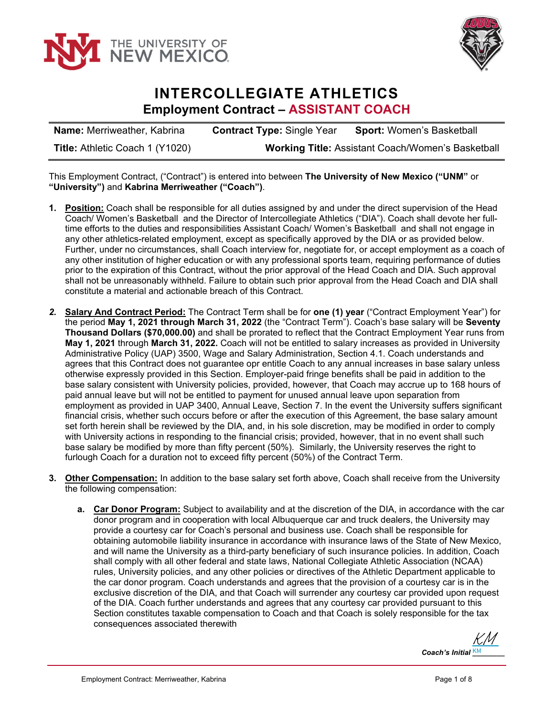



## **INTERCOLLEGIATE ATHLETICS Employment Contract – ASSISTANT COACH**

**Name:** Merriweather, Kabrina **Contract Type:** Single Year **Sport:** Women's Basketball **Title:** Athletic Coach 1 (Y1020) **Working Title:** Assistant Coach/Women's Basketball

This Employment Contract, ("Contract") is entered into between **The University of New Mexico ("UNM"** or **"University")** and **Kabrina Merriweather ("Coach")**.

- **1. Position:** Coach shall be responsible for all duties assigned by and under the direct supervision of the Head Coach/ Women's Basketball and the Director of Intercollegiate Athletics ("DIA"). Coach shall devote her fulltime efforts to the duties and responsibilities Assistant Coach/ Women's Basketball and shall not engage in any other athletics-related employment, except as specifically approved by the DIA or as provided below. Further, under no circumstances, shall Coach interview for, negotiate for, or accept employment as a coach of any other institution of higher education or with any professional sports team, requiring performance of duties prior to the expiration of this Contract, without the prior approval of the Head Coach and DIA. Such approval shall not be unreasonably withheld. Failure to obtain such prior approval from the Head Coach and DIA shall constitute a material and actionable breach of this Contract.
- *2.* **Salary And Contract Period:** The Contract Term shall be for **one (1) year** ("Contract Employment Year") for the period **May 1, 2021 through March 31, 2022** (the "Contract Term"). Coach's base salary will be **Seventy Thousand Dollars (\$70,000.00)** and shall be prorated to reflect that the Contract Employment Year runs from **May 1, 2021** through **March 31, 2022.** Coach will not be entitled to salary increases as provided in University Administrative Policy (UAP) 3500, Wage and Salary Administration, Section 4.1. Coach understands and agrees that this Contract does not guarantee opr entitle Coach to any annual increases in base salary unless otherwise expressly provided in this Section. Employer-paid fringe benefits shall be paid in addition to the base salary consistent with University policies, provided, however, that Coach may accrue up to 168 hours of paid annual leave but will not be entitled to payment for unused annual leave upon separation from employment as provided in UAP 3400, Annual Leave, Section 7. In the event the University suffers significant financial crisis, whether such occurs before or after the execution of this Agreement, the base salary amount set forth herein shall be reviewed by the DIA, and, in his sole discretion, may be modified in order to comply with University actions in responding to the financial crisis; provided, however, that in no event shall such base salary be modified by more than fifty percent (50%). Similarly, the University reserves the right to furlough Coach for a duration not to exceed fifty percent (50%) of the Contract Term.
- **3. Other Compensation:** In addition to the base salary set forth above, Coach shall receive from the University the following compensation:
	- **a. Car Donor Program:** Subject to availability and at the discretion of the DIA, in accordance with the car donor program and in cooperation with local Albuquerque car and truck dealers, the University may provide a courtesy car for Coach's personal and business use. Coach shall be responsible for obtaining automobile liability insurance in accordance with insurance laws of the State of New Mexico, and will name the University as a third-party beneficiary of such insurance policies. In addition, Coach shall comply with all other federal and state laws, National Collegiate Athletic Association (NCAA) rules, University policies, and any other policies or directives of the Athletic Department applicable to the car donor program. Coach understands and agrees that the provision of a courtesy car is in the exclusive discretion of the DIA, and that Coach will surrender any courtesy car provided upon request of the DIA. Coach further understands and agrees that any courtesy car provided pursuant to this Section constitutes taxable compensation to Coach and that Coach is solely responsible for the tax consequences associated therewith

 $\mathbf C$ oach's Initial  $\frac{\mathsf{KM}}{\mathsf{KM}}$ [KM](https://secure.na2.echosign.com/verifier?tx=CBJCHBCAABAAt_GB_P6jJEakdSwUHN5glOLqmvvs2oH6)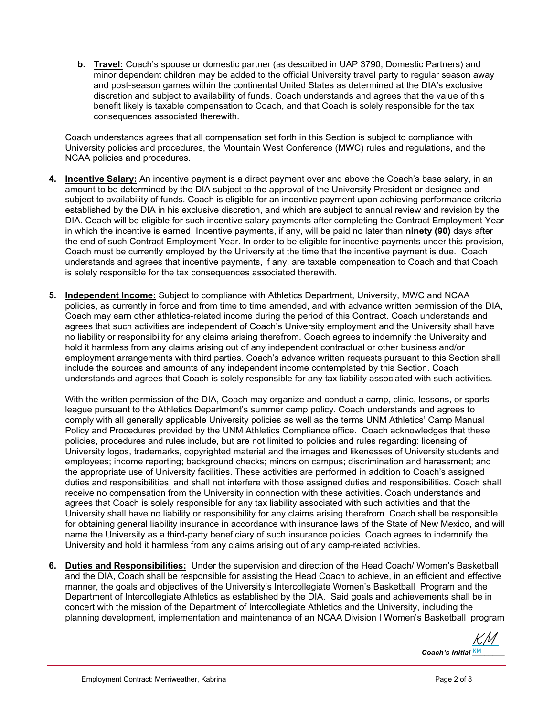**b. Travel:** Coach's spouse or domestic partner (as described in UAP 3790, Domestic Partners) and minor dependent children may be added to the official University travel party to regular season away and post-season games within the continental United States as determined at the DIA's exclusive discretion and subject to availability of funds. Coach understands and agrees that the value of this benefit likely is taxable compensation to Coach, and that Coach is solely responsible for the tax consequences associated therewith.

Coach understands agrees that all compensation set forth in this Section is subject to compliance with University policies and procedures, the Mountain West Conference (MWC) rules and regulations, and the NCAA policies and procedures.

- **4. Incentive Salary:** An incentive payment is a direct payment over and above the Coach's base salary, in an amount to be determined by the DIA subject to the approval of the University President or designee and subject to availability of funds. Coach is eligible for an incentive payment upon achieving performance criteria established by the DIA in his exclusive discretion, and which are subject to annual review and revision by the DIA. Coach will be eligible for such incentive salary payments after completing the Contract Employment Year in which the incentive is earned. Incentive payments, if any, will be paid no later than **ninety (90)** days after the end of such Contract Employment Year. In order to be eligible for incentive payments under this provision, Coach must be currently employed by the University at the time that the incentive payment is due. Coach understands and agrees that incentive payments, if any, are taxable compensation to Coach and that Coach is solely responsible for the tax consequences associated therewith.
- **5. Independent Income:** Subject to compliance with Athletics Department, University, MWC and NCAA policies, as currently in force and from time to time amended, and with advance written permission of the DIA, Coach may earn other athletics-related income during the period of this Contract. Coach understands and agrees that such activities are independent of Coach's University employment and the University shall have no liability or responsibility for any claims arising therefrom. Coach agrees to indemnify the University and hold it harmless from any claims arising out of any independent contractual or other business and/or employment arrangements with third parties. Coach's advance written requests pursuant to this Section shall include the sources and amounts of any independent income contemplated by this Section. Coach understands and agrees that Coach is solely responsible for any tax liability associated with such activities.

With the written permission of the DIA, Coach may organize and conduct a camp, clinic, lessons, or sports league pursuant to the Athletics Department's summer camp policy. Coach understands and agrees to comply with all generally applicable University policies as well as the terms UNM Athletics' Camp Manual Policy and Procedures provided by the UNM Athletics Compliance office. Coach acknowledges that these policies, procedures and rules include, but are not limited to policies and rules regarding: licensing of University logos, trademarks, copyrighted material and the images and likenesses of University students and employees; income reporting; background checks; minors on campus; discrimination and harassment; and the appropriate use of University facilities. These activities are performed in addition to Coach's assigned duties and responsibilities, and shall not interfere with those assigned duties and responsibilities. Coach shall receive no compensation from the University in connection with these activities. Coach understands and agrees that Coach is solely responsible for any tax liability associated with such activities and that the University shall have no liability or responsibility for any claims arising therefrom. Coach shall be responsible for obtaining general liability insurance in accordance with insurance laws of the State of New Mexico, and will name the University as a third-party beneficiary of such insurance policies. Coach agrees to indemnify the University and hold it harmless from any claims arising out of any camp-related activities.

**6. Duties and Responsibilities:** Under the supervision and direction of the Head Coach/ Women's Basketball and the DIA, Coach shall be responsible for assisting the Head Coach to achieve, in an efficient and effective manner, the goals and objectives of the University's Intercollegiate Women's Basketball Program and the Department of Intercollegiate Athletics as established by the DIA. Said goals and achievements shall be in concert with the mission of the Department of Intercollegiate Athletics and the University, including the planning development, implementation and maintenance of an NCAA Division I Women's Basketball program

 $\mathbf C$ oach's Initial  $\frac{\mathsf{KM}}{\mathsf{KM}}$ [KM](https://secure.na2.echosign.com/verifier?tx=CBJCHBCAABAAt_GB_P6jJEakdSwUHN5glOLqmvvs2oH6)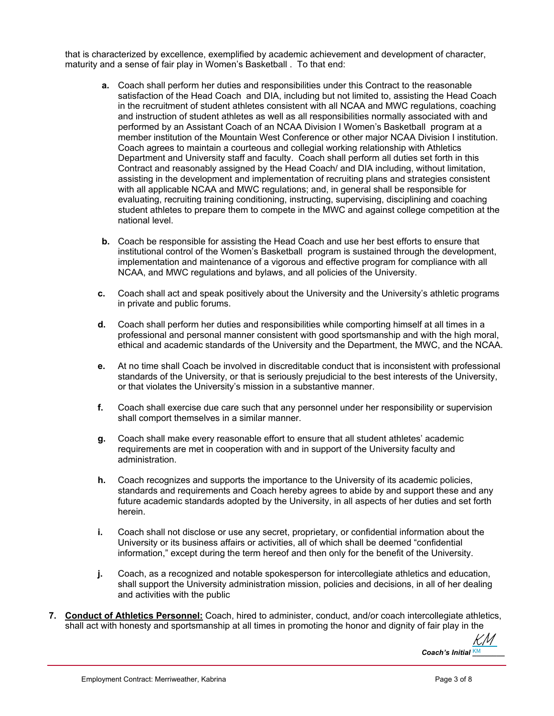that is characterized by excellence, exemplified by academic achievement and development of character, maturity and a sense of fair play in Women's Basketball . To that end:

- **a.** Coach shall perform her duties and responsibilities under this Contract to the reasonable satisfaction of the Head Coach and DIA, including but not limited to, assisting the Head Coach in the recruitment of student athletes consistent with all NCAA and MWC regulations, coaching and instruction of student athletes as well as all responsibilities normally associated with and performed by an Assistant Coach of an NCAA Division I Women's Basketball program at a member institution of the Mountain West Conference or other major NCAA Division I institution. Coach agrees to maintain a courteous and collegial working relationship with Athletics Department and University staff and faculty. Coach shall perform all duties set forth in this Contract and reasonably assigned by the Head Coach/ and DIA including, without limitation, assisting in the development and implementation of recruiting plans and strategies consistent with all applicable NCAA and MWC regulations; and, in general shall be responsible for evaluating, recruiting training conditioning, instructing, supervising, disciplining and coaching student athletes to prepare them to compete in the MWC and against college competition at the national level.
- **b.** Coach be responsible for assisting the Head Coach and use her best efforts to ensure that institutional control of the Women's Basketball program is sustained through the development, implementation and maintenance of a vigorous and effective program for compliance with all NCAA, and MWC regulations and bylaws, and all policies of the University.
- **c.** Coach shall act and speak positively about the University and the University's athletic programs in private and public forums.
- **d.** Coach shall perform her duties and responsibilities while comporting himself at all times in a professional and personal manner consistent with good sportsmanship and with the high moral, ethical and academic standards of the University and the Department, the MWC, and the NCAA.
- **e.** At no time shall Coach be involved in discreditable conduct that is inconsistent with professional standards of the University, or that is seriously prejudicial to the best interests of the University, or that violates the University's mission in a substantive manner.
- **f.** Coach shall exercise due care such that any personnel under her responsibility or supervision shall comport themselves in a similar manner.
- **g.** Coach shall make every reasonable effort to ensure that all student athletes' academic requirements are met in cooperation with and in support of the University faculty and administration.
- **h.** Coach recognizes and supports the importance to the University of its academic policies, standards and requirements and Coach hereby agrees to abide by and support these and any future academic standards adopted by the University, in all aspects of her duties and set forth herein.
- **i.** Coach shall not disclose or use any secret, proprietary, or confidential information about the University or its business affairs or activities, all of which shall be deemed "confidential information," except during the term hereof and then only for the benefit of the University.
- **j.** Coach, as a recognized and notable spokesperson for intercollegiate athletics and education, shall support the University administration mission, policies and decisions, in all of her dealing and activities with the public
- **7. Conduct of Athletics Personnel:** Coach, hired to administer, conduct, and/or coach intercollegiate athletics, shall act with honesty and sportsmanship at all times in promoting the honor and dignity of fair play in the

 $\mathbf C$ oach's Initial  $\frac{\mathsf{KM}}{\mathsf{KM}}$ [KM](https://secure.na2.echosign.com/verifier?tx=CBJCHBCAABAAt_GB_P6jJEakdSwUHN5glOLqmvvs2oH6)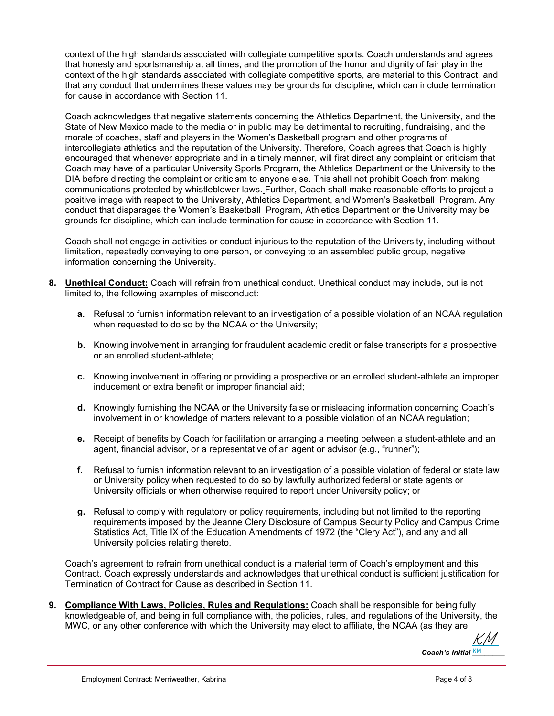context of the high standards associated with collegiate competitive sports. Coach understands and agrees that honesty and sportsmanship at all times, and the promotion of the honor and dignity of fair play in the context of the high standards associated with collegiate competitive sports, are material to this Contract, and that any conduct that undermines these values may be grounds for discipline, which can include termination for cause in accordance with Section 11.

Coach acknowledges that negative statements concerning the Athletics Department, the University, and the State of New Mexico made to the media or in public may be detrimental to recruiting, fundraising, and the morale of coaches, staff and players in the Women's Basketball program and other programs of intercollegiate athletics and the reputation of the University. Therefore, Coach agrees that Coach is highly encouraged that whenever appropriate and in a timely manner, will first direct any complaint or criticism that Coach may have of a particular University Sports Program, the Athletics Department or the University to the DIA before directing the complaint or criticism to anyone else. This shall not prohibit Coach from making communications protected by whistleblower laws. Further, Coach shall make reasonable efforts to project a positive image with respect to the University, Athletics Department, and Women's Basketball Program. Any conduct that disparages the Women's Basketball Program, Athletics Department or the University may be grounds for discipline, which can include termination for cause in accordance with Section 11.

Coach shall not engage in activities or conduct injurious to the reputation of the University, including without limitation, repeatedly conveying to one person, or conveying to an assembled public group, negative information concerning the University.

- **8. Unethical Conduct:** Coach will refrain from unethical conduct. Unethical conduct may include, but is not limited to, the following examples of misconduct:
	- **a.** Refusal to furnish information relevant to an investigation of a possible violation of an NCAA regulation when requested to do so by the NCAA or the University;
	- **b.** Knowing involvement in arranging for fraudulent academic credit or false transcripts for a prospective or an enrolled student-athlete;
	- **c.** Knowing involvement in offering or providing a prospective or an enrolled student-athlete an improper inducement or extra benefit or improper financial aid;
	- **d.** Knowingly furnishing the NCAA or the University false or misleading information concerning Coach's involvement in or knowledge of matters relevant to a possible violation of an NCAA regulation;
	- **e.** Receipt of benefits by Coach for facilitation or arranging a meeting between a student-athlete and an agent, financial advisor, or a representative of an agent or advisor (e.g., "runner");
	- **f.** Refusal to furnish information relevant to an investigation of a possible violation of federal or state law or University policy when requested to do so by lawfully authorized federal or state agents or University officials or when otherwise required to report under University policy; or
	- **g.** Refusal to comply with regulatory or policy requirements, including but not limited to the reporting requirements imposed by the Jeanne Clery Disclosure of Campus Security Policy and Campus Crime Statistics Act, Title IX of the Education Amendments of 1972 (the "Clery Act"), and any and all University policies relating thereto.

Coach's agreement to refrain from unethical conduct is a material term of Coach's employment and this Contract. Coach expressly understands and acknowledges that unethical conduct is sufficient justification for Termination of Contract for Cause as described in Section 11.

**9. Compliance With Laws, Policies, Rules and Regulations:** Coach shall be responsible for being fully knowledgeable of, and being in full compliance with, the policies, rules, and regulations of the University, the MWC, or any other conference with which the University may elect to affiliate, the NCAA (as they are

 $\mathbf C$ oach's Initial  $\frac{\mathsf{KM}}{\mathsf{KM}}$ [KM](https://secure.na2.echosign.com/verifier?tx=CBJCHBCAABAAt_GB_P6jJEakdSwUHN5glOLqmvvs2oH6)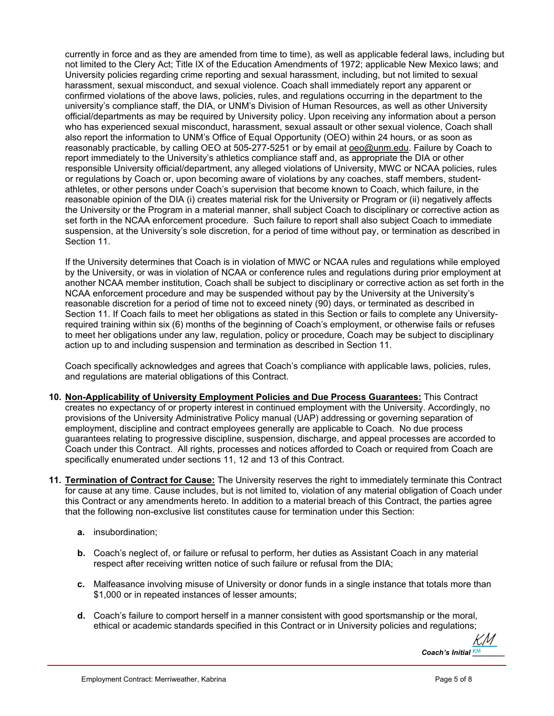currently in force and as they are amended from time to time), as well as applicable federal laws, including but not limited to the Clery Act; Title IX of the Education Amendments of 1972; applicable New Mexico laws; and University policies regarding crime reporting and sexual harassment, including, but not limited to sexual harassment, sexual misconduct, and sexual violence. Coach shall immediately report any apparent or confirmed violations of the above laws, policies, rules, and regulations occurring in the department to the university's compliance staff, the DIA, or UNM's Division of Human Resources, as well as other University official/departments as may be required by University policy. Upon receiving any information about a person who has experienced sexual misconduct, harassment, sexual assault or other sexual violence, Coach shall also report the information to UNM's Office of Equal Opportunity (OEO) within 24 hours, or as soon as reasonably practicable, by calling OEO at 505-277-5251 or by email at oeo@unm.edu. Failure by Coach to report immediately to the University's athletics compliance staff and, as appropriate the DIA or other responsible University official/department, any alleged violations of University, MWC or NCAA policies, rules or regulations by Coach or, upon becoming aware of violations by any coaches, staff members, studentathletes, or other persons under Coach's supervision that become known to Coach, which failure, in the reasonable opinion of the DIA (i) creates material risk for the University or Program or (ii) negatively affects the University or the Program in a material manner, shall subject Coach to disciplinary or corrective action as set forth in the NCAA enforcement procedure. Such failure to report shall also subject Coach to immediate suspension, at the University's sole discretion, for a period of time without pay, or termination as described in Section 11.

If the University determines that Coach is in violation of MWC or NCAA rules and regulations while employed by the University, or was in violation of NCAA or conference rules and regulations during prior employment at another NCAA member institution, Coach shall be subject to disciplinary or corrective action as set forth in the NCAA enforcement procedure and may be suspended without pay by the University at the University's reasonable discretion for a period of time not to exceed ninety (90) days, or terminated as described in Section 11. If Coach fails to meet her obligations as stated in this Section or fails to complete any Universityrequired training within six (6) months of the beginning of Coach's employment, or otherwise fails or refuses to meet her obligations under any law, regulation, policy or procedure, Coach may be subject to disciplinary action up to and including suspension and termination as described in Section 11.

Coach specifically acknowledges and agrees that Coach's compliance with applicable laws, policies, rules, and regulations are material obligations of this Contract.

- **10. Non-Applicability of University Employment Policies and Due Process Guarantees:** This Contract creates no expectancy of or property interest in continued employment with the University. Accordingly, no provisions of the University Administrative Policy manual (UAP) addressing or governing separation of employment, discipline and contract employees generally are applicable to Coach. No due process guarantees relating to progressive discipline, suspension, discharge, and appeal processes are accorded to Coach under this Contract. All rights, processes and notices afforded to Coach or required from Coach are specifically enumerated under sections 11, 12 and 13 of this Contract.
- **11. Termination of Contract for Cause:** The University reserves the right to immediately terminate this Contract for cause at any time. Cause includes, but is not limited to, violation of any material obligation of Coach under this Contract or any amendments hereto. In addition to a material breach of this Contract, the parties agree that the following non-exclusive list constitutes cause for termination under this Section:
	- **a.** insubordination;
	- **b.** Coach's neglect of, or failure or refusal to perform, her duties as Assistant Coach in any material respect after receiving written notice of such failure or refusal from the DIA;
	- **c.** Malfeasance involving misuse of University or donor funds in a single instance that totals more than \$1,000 or in repeated instances of lesser amounts;
	- **d.** Coach's failure to comport herself in a manner consistent with good sportsmanship or the moral, ethical or academic standards specified in this Contract or in University policies and regulations;

 $\mathbf C$ oach's Initial  $\frac{\mathsf{KM}}{\mathsf{KM}}$ [KM](https://secure.na2.echosign.com/verifier?tx=CBJCHBCAABAAt_GB_P6jJEakdSwUHN5glOLqmvvs2oH6)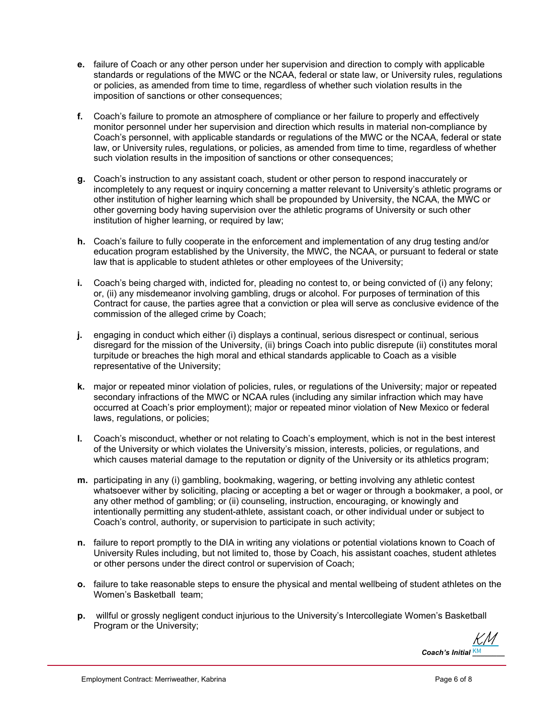- **e.** failure of Coach or any other person under her supervision and direction to comply with applicable standards or regulations of the MWC or the NCAA, federal or state law, or University rules, regulations or policies, as amended from time to time, regardless of whether such violation results in the imposition of sanctions or other consequences;
- **f.** Coach's failure to promote an atmosphere of compliance or her failure to properly and effectively monitor personnel under her supervision and direction which results in material non-compliance by Coach's personnel, with applicable standards or regulations of the MWC or the NCAA, federal or state law, or University rules, regulations, or policies, as amended from time to time, regardless of whether such violation results in the imposition of sanctions or other consequences;
- **g.** Coach's instruction to any assistant coach, student or other person to respond inaccurately or incompletely to any request or inquiry concerning a matter relevant to University's athletic programs or other institution of higher learning which shall be propounded by University, the NCAA, the MWC or other governing body having supervision over the athletic programs of University or such other institution of higher learning, or required by law;
- **h.** Coach's failure to fully cooperate in the enforcement and implementation of any drug testing and/or education program established by the University, the MWC, the NCAA, or pursuant to federal or state law that is applicable to student athletes or other employees of the University;
- **i.** Coach's being charged with, indicted for, pleading no contest to, or being convicted of (i) any felony; or, (ii) any misdemeanor involving gambling, drugs or alcohol. For purposes of termination of this Contract for cause, the parties agree that a conviction or plea will serve as conclusive evidence of the commission of the alleged crime by Coach;
- **j.** engaging in conduct which either (i) displays a continual, serious disrespect or continual, serious disregard for the mission of the University, (ii) brings Coach into public disrepute (ii) constitutes moral turpitude or breaches the high moral and ethical standards applicable to Coach as a visible representative of the University;
- **k.** major or repeated minor violation of policies, rules, or regulations of the University; major or repeated secondary infractions of the MWC or NCAA rules (including any similar infraction which may have occurred at Coach's prior employment); major or repeated minor violation of New Mexico or federal laws, regulations, or policies;
- **l.** Coach's misconduct, whether or not relating to Coach's employment, which is not in the best interest of the University or which violates the University's mission, interests, policies, or regulations, and which causes material damage to the reputation or dignity of the University or its athletics program;
- **m.** participating in any (i) gambling, bookmaking, wagering, or betting involving any athletic contest whatsoever wither by soliciting, placing or accepting a bet or wager or through a bookmaker, a pool, or any other method of gambling; or (ii) counseling, instruction, encouraging, or knowingly and intentionally permitting any student-athlete, assistant coach, or other individual under or subject to Coach's control, authority, or supervision to participate in such activity;
- **n.** failure to report promptly to the DIA in writing any violations or potential violations known to Coach of University Rules including, but not limited to, those by Coach, his assistant coaches, student athletes or other persons under the direct control or supervision of Coach;
- **o.** failure to take reasonable steps to ensure the physical and mental wellbeing of student athletes on the Women's Basketball team;
- **p.** willful or grossly negligent conduct injurious to the University's Intercollegiate Women's Basketball Program or the University;

 $\mathbf C$ oach's Initial  $\frac{\mathsf{KM}}{\mathsf{KM}}$ [KM](https://secure.na2.echosign.com/verifier?tx=CBJCHBCAABAAt_GB_P6jJEakdSwUHN5glOLqmvvs2oH6)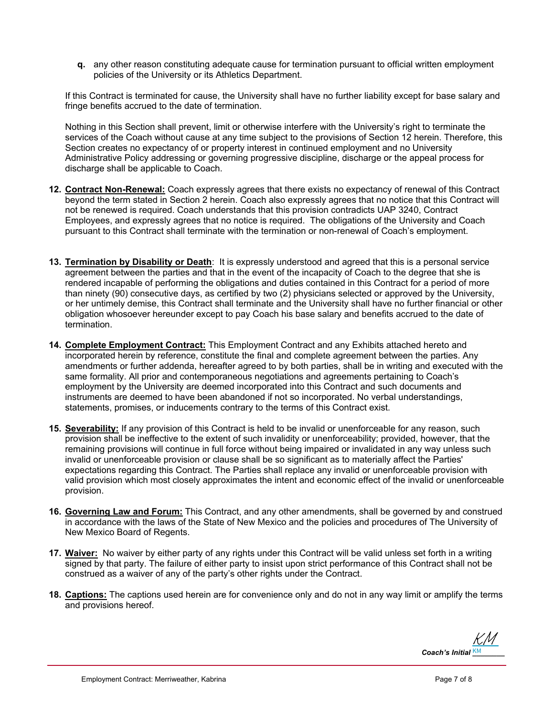**q.** any other reason constituting adequate cause for termination pursuant to official written employment policies of the University or its Athletics Department.

If this Contract is terminated for cause, the University shall have no further liability except for base salary and fringe benefits accrued to the date of termination.

Nothing in this Section shall prevent, limit or otherwise interfere with the University's right to terminate the services of the Coach without cause at any time subject to the provisions of Section 12 herein. Therefore, this Section creates no expectancy of or property interest in continued employment and no University Administrative Policy addressing or governing progressive discipline, discharge or the appeal process for discharge shall be applicable to Coach.

- **12. Contract Non-Renewal:** Coach expressly agrees that there exists no expectancy of renewal of this Contract beyond the term stated in Section 2 herein. Coach also expressly agrees that no notice that this Contract will not be renewed is required. Coach understands that this provision contradicts UAP 3240, Contract Employees, and expressly agrees that no notice is required. The obligations of the University and Coach pursuant to this Contract shall terminate with the termination or non-renewal of Coach's employment.
- **13. Termination by Disability or Death**: It is expressly understood and agreed that this is a personal service agreement between the parties and that in the event of the incapacity of Coach to the degree that she is rendered incapable of performing the obligations and duties contained in this Contract for a period of more than ninety (90) consecutive days, as certified by two (2) physicians selected or approved by the University, or her untimely demise, this Contract shall terminate and the University shall have no further financial or other obligation whosoever hereunder except to pay Coach his base salary and benefits accrued to the date of termination.
- **14. Complete Employment Contract:** This Employment Contract and any Exhibits attached hereto and incorporated herein by reference, constitute the final and complete agreement between the parties. Any amendments or further addenda, hereafter agreed to by both parties, shall be in writing and executed with the same formality. All prior and contemporaneous negotiations and agreements pertaining to Coach's employment by the University are deemed incorporated into this Contract and such documents and instruments are deemed to have been abandoned if not so incorporated. No verbal understandings, statements, promises, or inducements contrary to the terms of this Contract exist.
- **15. Severability:** If any provision of this Contract is held to be invalid or unenforceable for any reason, such provision shall be ineffective to the extent of such invalidity or unenforceability; provided, however, that the remaining provisions will continue in full force without being impaired or invalidated in any way unless such invalid or unenforceable provision or clause shall be so significant as to materially affect the Parties' expectations regarding this Contract. The Parties shall replace any invalid or unenforceable provision with valid provision which most closely approximates the intent and economic effect of the invalid or unenforceable provision.
- **16. Governing Law and Forum:** This Contract, and any other amendments, shall be governed by and construed in accordance with the laws of the State of New Mexico and the policies and procedures of The University of New Mexico Board of Regents.
- **17. Waiver:** No waiver by either party of any rights under this Contract will be valid unless set forth in a writing signed by that party. The failure of either party to insist upon strict performance of this Contract shall not be construed as a waiver of any of the party's other rights under the Contract.
- **18. Captions:** The captions used herein are for convenience only and do not in any way limit or amplify the terms and provisions hereof.

 $\mathbf C$ oach's Initial  $\frac{\mathsf{KM}}{\mathsf{KM}}$ [KM](https://secure.na2.echosign.com/verifier?tx=CBJCHBCAABAAt_GB_P6jJEakdSwUHN5glOLqmvvs2oH6)